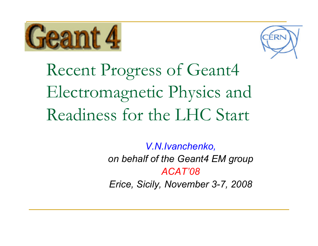



Recent Progress of Geant4 Electromagnetic Physics and Readiness for the LHC Start

> *V.N.Ivanchenko, on behalf of the Geant4 EM group ACAT'08Erice, Sicily, November 3-7, 2008*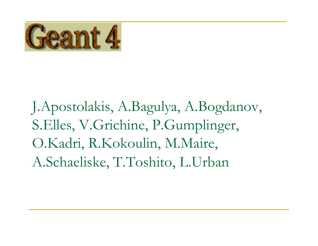

J.Apostolakis, A.Bagulya, A.Bogdanov, S.Elles, V.Grichine, P.Gumplinger, O.Kadri, R.Kokoulin, M.Maire, A.Schaeliske, T.Toshito, L.Urban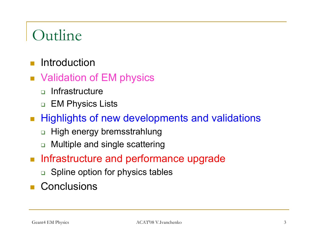### **Outline**

- $\overline{\phantom{a}}$ Introduction
- Validation of EM physics
	- $\Box$ **Infrastructure**
	- □ EM Physics Lists
- **Highlights of new developments and validations** 
	- ❏ High energy bremsstrahlung
	- ❏ Multiple and single scattering
- **Infrastructure and performance upgrade** 
	- □ Spline option for physics tables
- **Conclusions**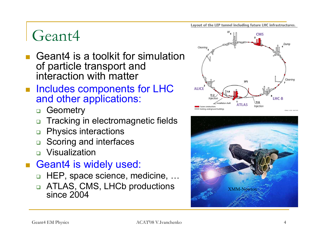### Geant4

- Geant4 is a toolkit for simulation of particle transport and interaction with matter
- **Includes components for LHC** and other applications:
	- $\Box$ **Geometry**
	- $\Box$ Tracking in electromagnetic fields
	- $\Box$ Physics interactions
	- $\Box$ Scoring and interfaces
	- Visualization
- Geant4 is widely used:
	- $\Box$ HEP, space science, medicine, …
	- $\Box$  ATLAS, CMS, LHCb productions since 2004



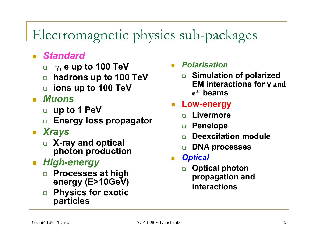#### Electromagnetic physics sub-packages

#### $\overline{\mathbb{R}}$ *Standard*

- $\Box$ γ**, e up to 100 TeV**
- $\Box$ **hadrons up to 100 TeV**
- **ions up to 100 TeV**

#### $\mathbb{R}^3$ *Muons*

- **up to 1 PeV**
- ❏ **Energy loss propagator**

#### $\mathcal{L}^{\text{max}}_{\text{max}}$ *Xrays*

 **X-ray and optical photon production** 

#### *High-energy*

- $\Box$  **Processes at high energy (E>10GeV)**
- $\Box$  **Physics for exotic particles**

#### *Polarisation*

 $\Box$  **Simulation of polarized EM interactions for**  γ **and e**± **beams**

#### F. **Low-energy**

- ❏ **Livermore**
- $\Box$ **Penelope**
- ❏ **Deexcitation module**
- ❏ **DNA processes**
- T. *Optical*
	- $\Box$  **Optical photon propagation and interactions**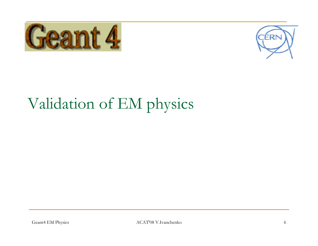



## Validation of EM physics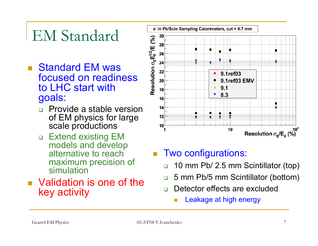## EM Standard

- Standard EM was focused on readiness to LHC start with goals:
	- $\Box$  Provide a stable version of EM physics for large scale productions
	- □ Extend existing EM models and develop alternative to reach maximum precision of simulation
- **No.** Validation is one of the key activity



- Two configurations:
	- $\Box$ 10 mm Pb/ 2.5 mm Scintillator (top)
	- $\Box$ 5 mm Pb/5 mm Scintillator (bottom)
	- $\Box$  Detector effects are excluded
		- П Leakage at high energy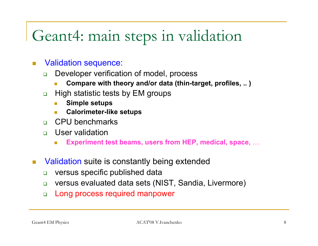#### Geant4: main steps in validation

- $\overline{\mathcal{A}}$  Validation sequence:
	- $\Box$  Developer verification of model, process
		- **Compare with theory and/or data (thin-target, profiles, .. )**
	- $\Box$  High statistic tests by EM groups
		- $\overline{\mathbb{R}^n}$ **Simple setups**
		- **Calorimeter-like setups**
	- $\Box$ CPU benchmarks
	- $\Box$  User validation
		- **Experiment test beams, users from HEP, medical, space,** …
- П Validation suite is constantly being extended
	- $\Box$ versus specific published data
	- $\Box$ versus evaluated data sets (NIST, Sandia, Livermore)
	- $\Box$ Long process required manpower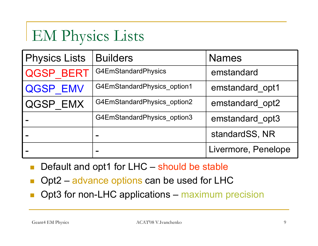## EM Physics Lists

| <b>Physics Lists</b> | <b>Builders</b>             | <b>Names</b>        |  |
|----------------------|-----------------------------|---------------------|--|
| <b>QGSP BERT</b>     | G4EmStandardPhysics         | emstandard          |  |
| <b>QGSP EMV</b>      | G4EmStandardPhysics option1 | emstandard opt1     |  |
| QGSP EMX             | G4EmStandardPhysics option2 | emstandard opt2     |  |
|                      | G4EmStandardPhysics option3 | emstandard opt3     |  |
|                      | ▬                           | standardSS, NR      |  |
|                      |                             | Livermore, Penelope |  |

- b. Default and opt1 for LHC – should be stable
- b. Opt2 – advance options can be used for LHC
- b. Opt3 for non-LHC applications – maximum precision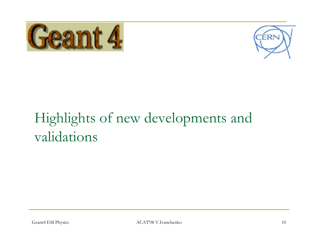



## Highlights of new developments and validations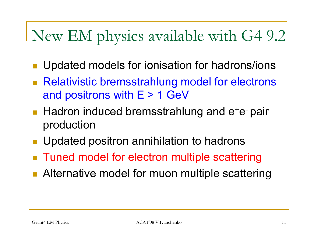## New EM physics available with G4 9.2

- Updated models for ionisation for hadrons/ions
- Relativistic bremsstrahlung model for electrons and positrons with  $E > 1$  GeV
- $\blacksquare$  Hadron induced bremsstrahlung and  $e^+e^-$  pair production
- Updated positron annihilation to hadrons
- Tuned model for electron multiple scattering
- **Alternative model for muon multiple scattering**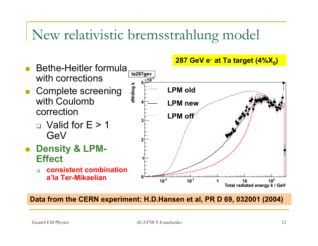#### New relativistic bremsstrahlung model

- $\overline{\phantom{a}}$  Bethe-Heitler formula with corrections
- **Complete screening** with Coulomb correction
	- $\Box$  Valid for E > 1 GeV
- **u** Density & LPM-**Effect** 
	- $\Box$  **consistent combination a'la Ter-Mikaelian**

**287 GeV e- at Ta target (4%X)** 



**Data from the CERN experiment: H.D.Hansen et al, PR D 69, 032001 (2004)**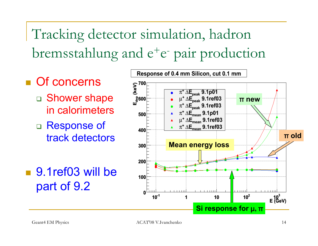Tracking detector simulation, hadron bremsstahlung and  $e^+e^-$  pair production

- **Of concerns** 
	- □ Shower shape in calorimeters
	- $\Box$  Response of track detectors
- 9.1ref03 will be part of 9.2

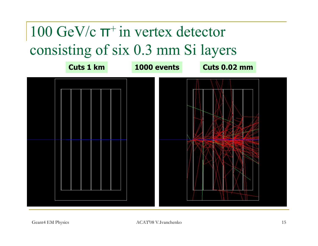## $100$  GeV/c  $π$ <sup>+</sup> in vertex detector consisting of six 0.3 mm Si layers

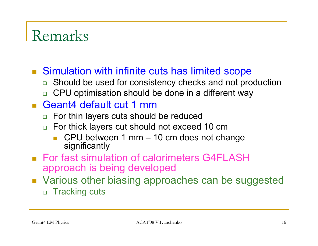#### Remarks

- Simulation with infinite cuts has limited scope
	- □ Should be used for consistency checks and not production
	- □ CPU optimisation should be done in a different way

#### ■ Geant4 default cut 1 mm

- For thin layers cuts should be reduced
- $\Box$  For thick layers cut should not exceed 10 cm
	- $\Box$  CPU between 1 mm – 10 cm does not change significantly
- For fast simulation of calorimeters G4FLASH approach is being developed
- **Number 3** Various other biasing approaches can be suggested □ Tracking cuts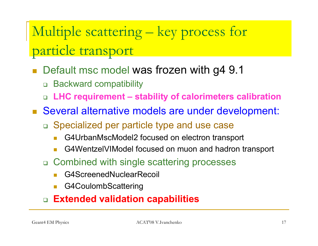### Multiple scattering – key process for particle transport

- $\overline{\phantom{a}}$  Default msc model was frozen with g4 9.1
	- $\Box$ Backward compatibility
	- $\Box$ **LHC requirement – stability of calorimeters calibration**
- Several alternative models are under development:
	- Specialized per particle type and use case
		- F G4UrbanMscModel2 focused on electron transport
		- F G4WentzelVIModel focused on muon and hadron transport
	- Combined with single scattering processes
		- F G4ScreenedNuclearRecoil
		- F G4CoulombScattering

#### **Extended validation capabilities**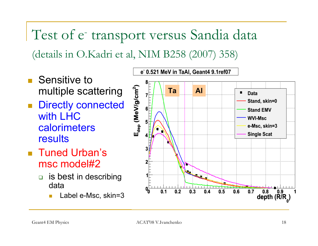Test of e<sup>-</sup> transport versus Sandia data (details in O.Kadri et al, NIM B258 (2007) 358)

- Sensitive to multiple scattering
- $\overline{\phantom{a}}$  Directly connected with LHC calorimeters results
- Tuned Urban's msc model#2
	- $\Box$  is best in describing data
		- F Label e-Msc, skin=3

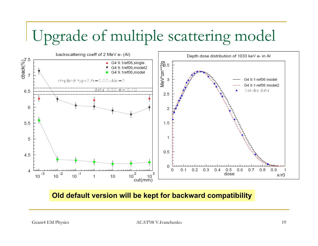## Upgrade of multiple scattering model



#### **Old default version will be kept for backward compatibility**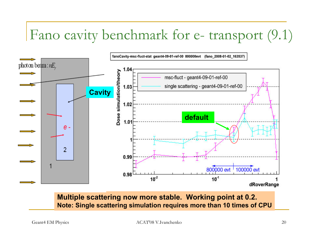#### Fano cavity benchmark for e- transport (9.1)



**Multiple scattering now more stable. Working point at 0.2. Note: Single scattering simulation requires more than 10 times of CPU**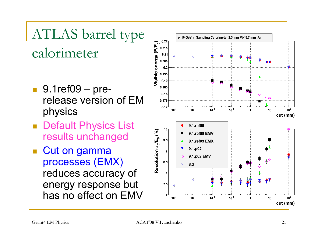### ATLAS barrel type calorimeter

- 9.1ref09 prerelease version of EM physics
- Default Physics List results unchanged
- p. Cut on gamma processes (EMX) reduces accuracy of energy response but has no effect on EMV

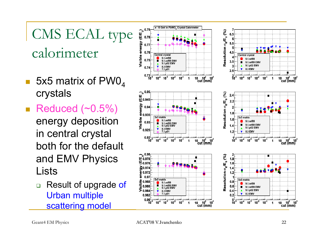# CMS ECAL type calorimeter

- H 5x5 matrix of  $PWO<sub>4</sub>$ crystals
- Reduced  $(\sim0.5\%)$ energy deposition in central crystal both for the default and EMV Physics Lists
	- $\Box$  Result of upgrade of Urban multiple scattering model

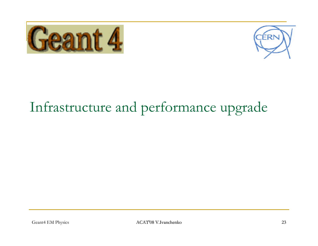



#### Infrastructure and performance upgrade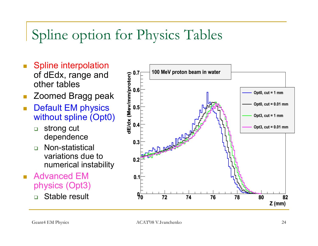#### Spline option for Physics Tables

- T. Spline interpolation of dEdx, range and other tables
- T. Zoomed Bragg peak
- $\mathbf{r}$  Default EM physics without spline (Opt0)
	- $\Box$  strong cut dependence
	- $\Box$  Non-statistical variations due to numerical instability
- Advanced EM physics (Opt3)

❏ Stable result

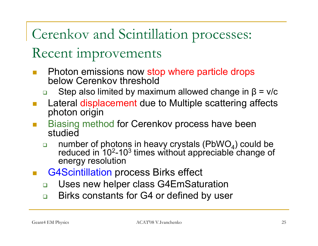Cerenkov and Scintillation processes:

#### Recent improvements

- $\overline{\phantom{a}}$  Photon emissions now stop where particle drops below Cerenkov threshold
	- $\Box$ Step also limited by maximum allowed change in  $\beta = v/c$
- Lateral displacement due to Multiple scattering affects photon origin
- Biasing method for Cerenkov process have been studied
	- $\Box$ number of photons in heavy crystals (PbWO<sub>4</sub>) could be reduced in  $10^2$ -10<sup>3</sup> times without appreciable change of energy resolution
- G4Scintillation process Birks effect
	- $\Box$ Uses new helper class G4EmSaturation
	- $\Box$ Birks constants for G4 or defined by user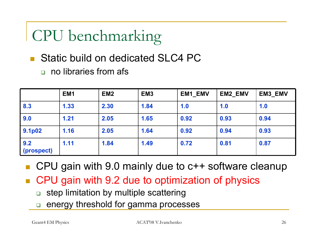## CPU benchmarking

- Static build on dedicated SLC4 PC
	- ❏ no libraries from afs

|                     | EM <sub>1</sub> | EM <sub>2</sub> | EM <sub>3</sub> | <b>EM1 EMV</b> | <b>EM2 EMV</b> | <b>EM3_EMV</b> |
|---------------------|-----------------|-----------------|-----------------|----------------|----------------|----------------|
| 8.3                 | 1.33            | 2.30            | 1.84            | 1.0            | 1.0            | 1.0            |
| 9.0                 | 1.21            | 2.05            | 1.65            | 0.92           | 0.93           | 0.94           |
| 9.1 <sub>p</sub> 02 | 1.16            | 2.05            | 1.64            | 0.92           | 0.94           | 0.93           |
| 9.2<br>(prospect)   | 1.11            | 1.84            | 1.49            | 0.72           | 0.81           | 0.87           |

- CPU gain with 9.0 mainly due to c++ software cleanup
- CPU gain with 9.2 due to optimization of physics
	- $\Box$ step limitation by multiple scattering
	- $\Box$ energy threshold for gamma processes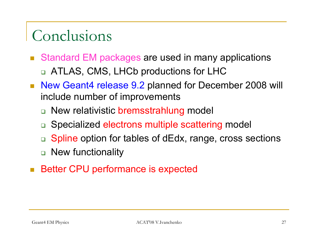### Conclusions

- b. Standard EM packages are used in many applications □ ATLAS, CMS, LHCb productions for LHC
- New Geant4 release 9.2 planned for December 2008 will include number of improvements
	- □ New relativistic bremsstrahlung model
	- □ Specialized electrons multiple scattering model
	- $\Box$ Spline option for tables of dEdx, range, cross sections
	- □ New functionality
- Better CPU performance is expected